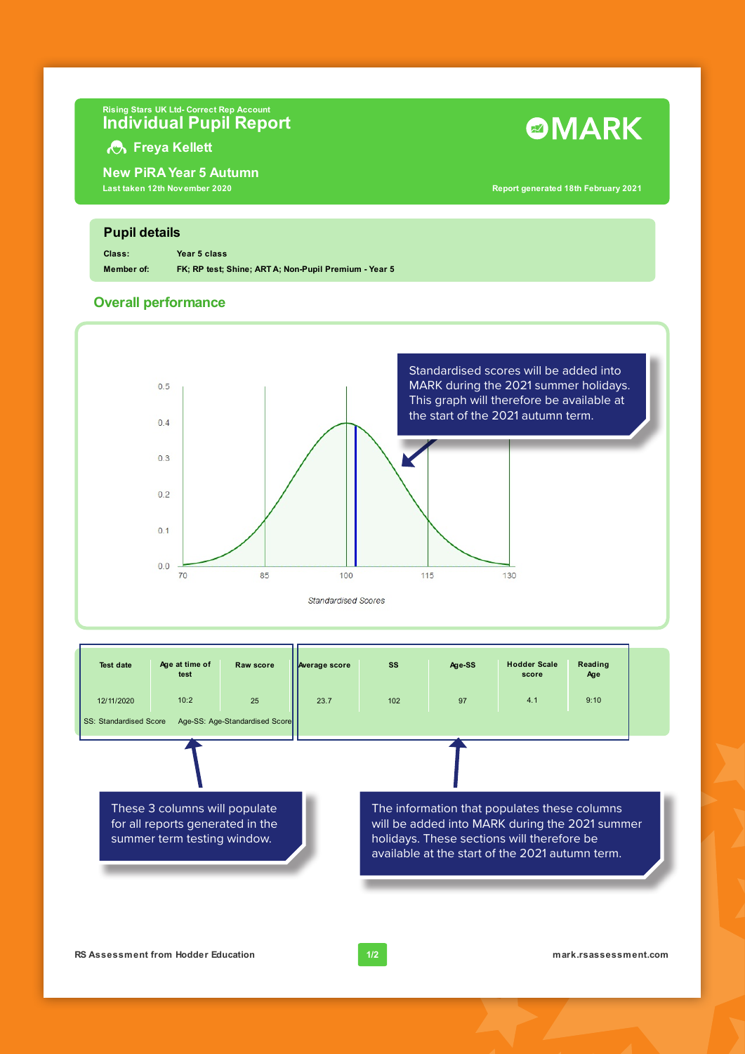## **Rising Stars UK Ltd- Correct Rep Account Individual Pupil Report**

## **Freya Kellett**

**New PiRA Year 5 Autumn Last taken 12th Nov ember 2020**

**ØMARK** 

**Report generated 18th February 2021**

## **Pupil details**

**Class: Year 5 class**

**Member of: FK; RP test; Shine; ART A; Non-Pupil Premium - Year 5**

## **Overall performance**



| <b>Test date</b>                                                                                 | Age at time of<br>test | Raw score                      | Average score | <b>SS</b>                                                                                                                                                                                       | Age-SS | <b>Hodder Scale</b><br>score | Reading<br>Age |  |
|--------------------------------------------------------------------------------------------------|------------------------|--------------------------------|---------------|-------------------------------------------------------------------------------------------------------------------------------------------------------------------------------------------------|--------|------------------------------|----------------|--|
| 12/11/2020                                                                                       | 10:2                   | 25                             | 23.7          | 102                                                                                                                                                                                             | 97     | 4.1                          | 9:10           |  |
| <b>SS: Standardised Score</b>                                                                    |                        | Age-SS: Age-Standardised Score |               |                                                                                                                                                                                                 |        |                              |                |  |
|                                                                                                  |                        |                                |               |                                                                                                                                                                                                 |        |                              |                |  |
| These 3 columns will populate<br>for all reports generated in the<br>summer term testing window. |                        |                                |               | The information that populates these columns<br>will be added into MARK during the 2021 summer<br>holidays. These sections will therefore be<br>available at the start of the 2021 autumn term. |        |                              |                |  |